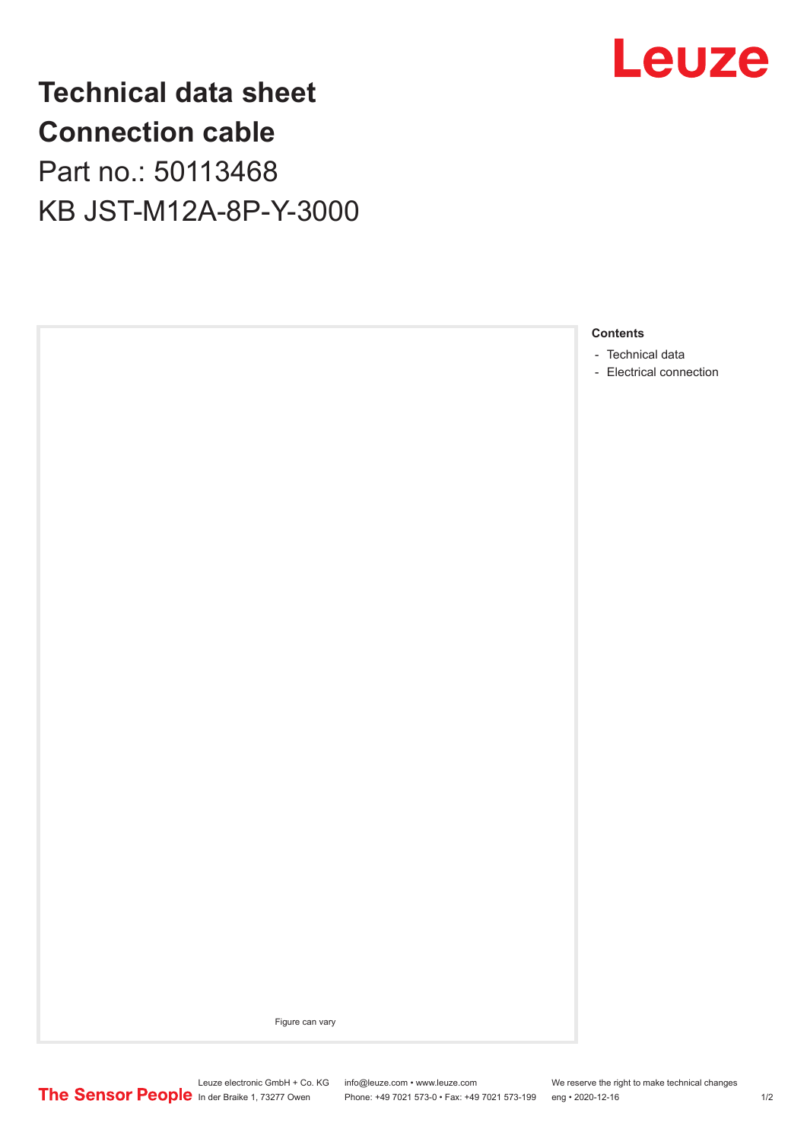

## **Technical data sheet Connection cable**

Part no.: 50113468 KB JST-M12A-8P-Y-3000



Figure can vary